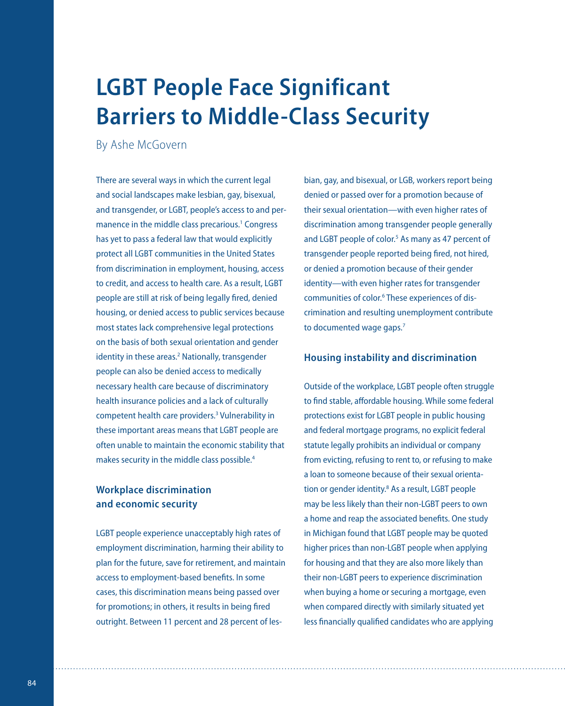# **LGBT People Face Significant Barriers to Middle-Class Security**

By Ashe McGovern

There are several ways in which the current legal and social landscapes make lesbian, gay, bisexual, and transgender, or LGBT, people's access to and permanence in the middle class precarious.<sup>1</sup> Congress has yet to pass a federal law that would explicitly protect all LGBT communities in the United States from discrimination in employment, housing, access to credit, and access to health care. As a result, LGBT people are still at risk of being legally fired, denied housing, or denied access to public services because most states lack comprehensive legal protections on the basis of both sexual orientation and gender identity in these areas.<sup>2</sup> Nationally, transgender people can also be denied access to medically necessary health care because of discriminatory health insurance policies and a lack of culturally competent health care providers.<sup>3</sup> Vulnerability in these important areas means that LGBT people are often unable to maintain the economic stability that makes security in the middle class possible.<sup>4</sup>

### **Workplace discrimination and economic security**

LGBT people experience unacceptably high rates of employment discrimination, harming their ability to plan for the future, save for retirement, and maintain access to employment-based benefits. In some cases, this discrimination means being passed over for promotions; in others, it results in being fired outright. Between 11 percent and 28 percent of lesbian, gay, and bisexual, or LGB, workers report being denied or passed over for a promotion because of their sexual orientation—with even higher rates of discrimination among transgender people generally and LGBT people of color.<sup>5</sup> As many as 47 percent of transgender people reported being fired, not hired, or denied a promotion because of their gender identity—with even higher rates for transgender communities of color.<sup>6</sup> These experiences of discrimination and resulting unemployment contribute to documented wage gaps.<sup>7</sup>

#### **Housing instability and discrimination**

Outside of the workplace, LGBT people often struggle to find stable, affordable housing. While some federal protections exist for LGBT people in public housing and federal mortgage programs, no explicit federal statute legally prohibits an individual or company from evicting, refusing to rent to, or refusing to make a loan to someone because of their sexual orientation or gender identity.<sup>8</sup> As a result, LGBT people may be less likely than their non-LGBT peers to own a home and reap the associated benefits. One study in Michigan found that LGBT people may be quoted higher prices than non-LGBT people when applying for housing and that they are also more likely than their non-LGBT peers to experience discrimination when buying a home or securing a mortgage, even when compared directly with similarly situated yet less financially qualified candidates who are applying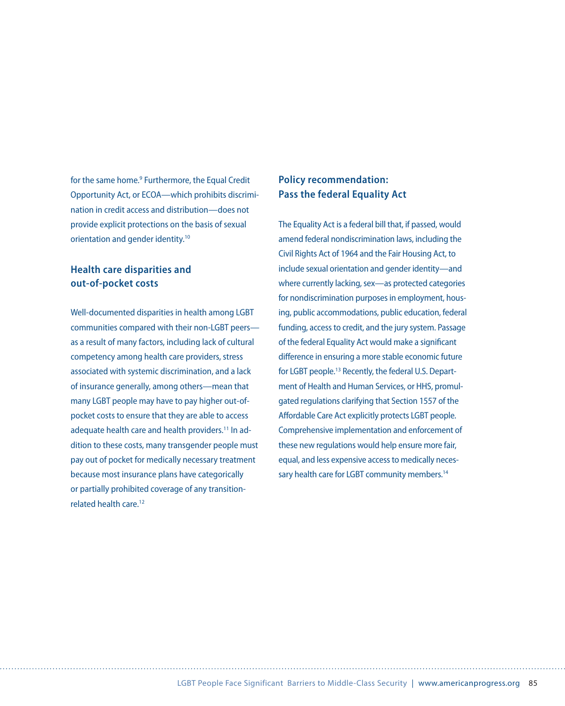for the same home.<sup>9</sup> Furthermore, the Equal Credit Opportunity Act, or ECOA—which prohibits discrimination in credit access and distribution—does not provide explicit protections on the basis of sexual orientation and gender identity.<sup>10</sup>

### **Health care disparities and out-of-pocket costs**

Well-documented disparities in health among LGBT communities compared with their non-LGBT peers as a result of many factors, including lack of cultural competency among health care providers, stress associated with systemic discrimination, and a lack of insurance generally, among others—mean that many LGBT people may have to pay higher out-ofpocket costs to ensure that they are able to access adequate health care and health providers.<sup>11</sup> In addition to these costs, many transgender people must pay out of pocket for medically necessary treatment because most insurance plans have categorically or partially prohibited coverage of any transitionrelated health care<sup>12</sup>

## **Policy recommendation: Pass the federal Equality Act**

The Equality Act is a federal bill that, if passed, would amend federal nondiscrimination laws, including the Civil Rights Act of 1964 and the Fair Housing Act, to include sexual orientation and gender identity—and where currently lacking, sex—as protected categories for nondiscrimination purposes in employment, housing, public accommodations, public education, federal funding, access to credit, and the jury system. Passage of the federal Equality Act would make a significant difference in ensuring a more stable economic future for LGBT people.<sup>13</sup> Recently, the federal U.S. Department of Health and Human Services, or HHS, promulgated regulations clarifying that Section 1557 of the Affordable Care Act explicitly protects LGBT people. Comprehensive implementation and enforcement of these new regulations would help ensure more fair, equal, and less expensive access to medically necessary health care for LGBT community members.<sup>14</sup>